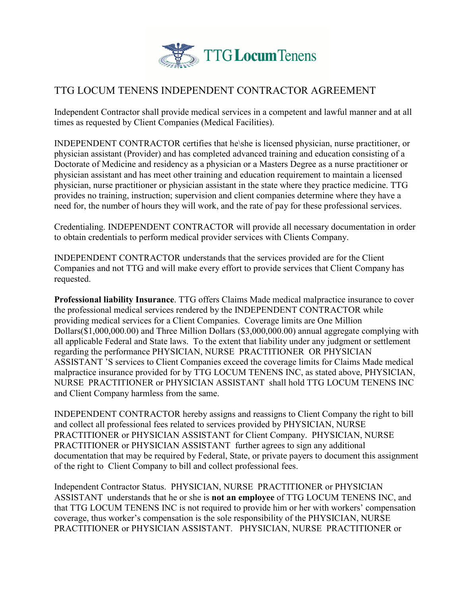

## TTG LOCUM TENENS INDEPENDENT CONTRACTOR AGREEMENT

Independent Contractor shall provide medical services in a competent and lawful manner and at all times as requested by Client Companies (Medical Facilities).

INDEPENDENT CONTRACTOR certifies that he\she is licensed physician, nurse practitioner, or physician assistant (Provider) and has completed advanced training and education consisting of a Doctorate of Medicine and residency as a physician or a Masters Degree as a nurse practitioner or physician assistant and has meet other training and education requirement to maintain a licensed physician, nurse practitioner or physician assistant in the state where they practice medicine. TTG provides no training, instruction; supervision and client companies determine where they have a need for, the number of hours they will work, and the rate of pay for these professional services.

Credentialing. INDEPENDENT CONTRACTOR will provide all necessary documentation in order to obtain credentials to perform medical provider services with Clients Company.

INDEPENDENT CONTRACTOR understands that the services provided are for the Client Companies and not TTG and will make every effort to provide services that Client Company has requested.

**Professional liability Insurance**. TTG offers Claims Made medical malpractice insurance to cover the professional medical services rendered by the INDEPENDENT CONTRACTOR while providing medical services for a Client Companies. Coverage limits are One Million Dollars(\$1,000,000.00) and Three Million Dollars (\$3,000,000.00) annual aggregate complying with all applicable Federal and State laws. To the extent that liability under any judgment or settlement regarding the performance PHYSICIAN, NURSE PRACTITIONER OR PHYSICIAN ASSISTANT 'S services to Client Companies exceed the coverage limits for Claims Made medical malpractice insurance provided for by TTG LOCUM TENENS INC, as stated above, PHYSICIAN, NURSE PRACTITIONER or PHYSICIAN ASSISTANT shall hold TTG LOCUM TENENS INC and Client Company harmless from the same.

INDEPENDENT CONTRACTOR hereby assigns and reassigns to Client Company the right to bill and collect all professional fees related to services provided by PHYSICIAN, NURSE PRACTITIONER or PHYSICIAN ASSISTANT for Client Company. PHYSICIAN, NURSE PRACTITIONER or PHYSICIAN ASSISTANT further agrees to sign any additional documentation that may be required by Federal, State, or private payers to document this assignment of the right to Client Company to bill and collect professional fees.

Independent Contractor Status. PHYSICIAN, NURSE PRACTITIONER or PHYSICIAN ASSISTANT understands that he or she is **not an employee** of TTG LOCUM TENENS INC, and that TTG LOCUM TENENS INC is not required to provide him or her with workers' compensation coverage, thus worker's compensation is the sole responsibility of the PHYSICIAN, NURSE PRACTITIONER or PHYSICIAN ASSISTANT. PHYSICIAN, NURSE PRACTITIONER or